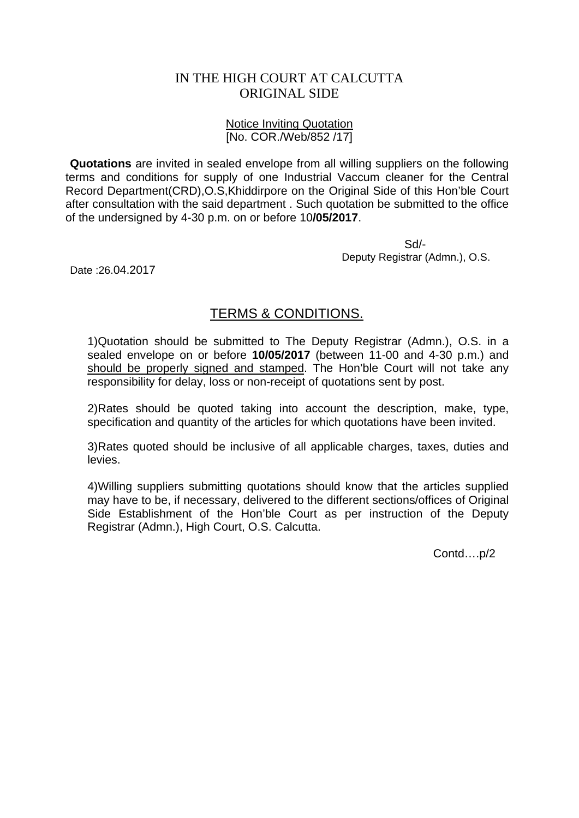## IN THE HIGH COURT AT CALCUTTA ORIGINAL SIDE

## Notice Inviting Quotation [No. COR./Web/852 /17]

**Quotations** are invited in sealed envelope from all willing suppliers on the following terms and conditions for supply of one Industrial Vaccum cleaner for the Central Record Department(CRD),O.S,Khiddirpore on the Original Side of this Hon'ble Court after consultation with the said department . Such quotation be submitted to the office of the undersigned by 4-30 p.m. on or before 10**/05/2017**.

 Sd/- Deputy Registrar (Admn.), O.S.

Date :26.04.2017

## TERMS & CONDITIONS.

1)Quotation should be submitted to The Deputy Registrar (Admn.), O.S. in a sealed envelope on or before **10/05/2017** (between 11-00 and 4-30 p.m.) and should be properly signed and stamped. The Hon'ble Court will not take any responsibility for delay, loss or non-receipt of quotations sent by post.

2)Rates should be quoted taking into account the description, make, type, specification and quantity of the articles for which quotations have been invited.

3)Rates quoted should be inclusive of all applicable charges, taxes, duties and levies.

4)Willing suppliers submitting quotations should know that the articles supplied may have to be, if necessary, delivered to the different sections/offices of Original Side Establishment of the Hon'ble Court as per instruction of the Deputy Registrar (Admn.), High Court, O.S. Calcutta.

Contd….p/2